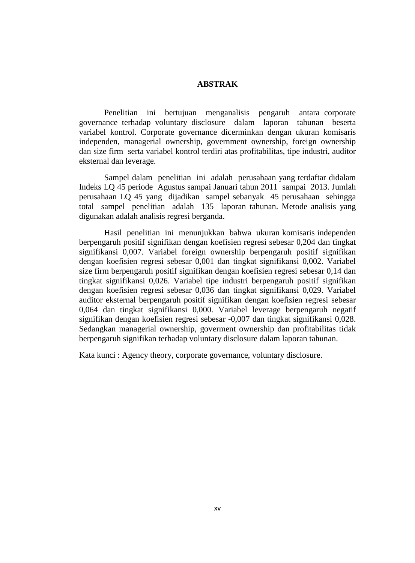## **ABSTRAK**

Penelitian ini bertujuan menganalisis pengaruh antara corporate governance terhadap voluntary disclosure dalam laporan tahunan beserta variabel kontrol. Corporate governance dicerminkan dengan ukuran komisaris independen, managerial ownership, government ownership, foreign ownership dan size firm serta variabel kontrol terdiri atas profitabilitas, tipe industri, auditor eksternal dan leverage.

Sampel dalam penelitian ini adalah perusahaan yang terdaftar didalam Indeks LQ 45 periode Agustus sampai Januari tahun 2011 sampai 2013. Jumlah perusahaan LQ 45 yang dijadikan sampel sebanyak 45 perusahaan sehingga total sampel penelitian adalah 135 laporan tahunan. Metode analisis yang digunakan adalah analisis regresi berganda.

Hasil penelitian ini menunjukkan bahwa ukuran komisaris independen berpengaruh positif signifikan dengan koefisien regresi sebesar 0,204 dan tingkat signifikansi 0,007. Variabel foreign ownership berpengaruh positif signifikan dengan koefisien regresi sebesar 0,001 dan tingkat signifikansi 0,002. Variabel size firm berpengaruh positif signifikan dengan koefisien regresi sebesar 0,14 dan tingkat signifikansi 0,026. Variabel tipe industri berpengaruh positif signifikan dengan koefisien regresi sebesar 0,036 dan tingkat signifikansi 0,029. Variabel auditor eksternal berpengaruh positif signifikan dengan koefisien regresi sebesar 0,064 dan tingkat signifikansi 0,000. Variabel leverage berpengaruh negatif signifikan dengan koefisien regresi sebesar -0,007 dan tingkat signifikansi 0,028. Sedangkan managerial ownership, goverment ownership dan profitabilitas tidak berpengaruh signifikan terhadap voluntary disclosure dalam laporan tahunan.

Kata kunci : Agency theory, corporate governance, voluntary disclosure.